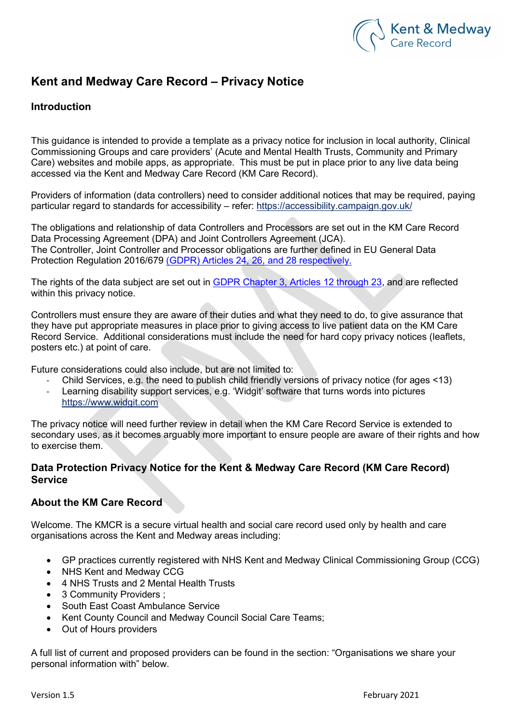

# Kent and Medway Care Record – Privacy Notice

## Introduction

This guidance is intended to provide a template as a privacy notice for inclusion in local authority, Clinical Commissioning Groups and care providers' (Acute and Mental Health Trusts, Community and Primary Care) websites and mobile apps, as appropriate. This must be put in place prior to any live data being accessed via the Kent and Medway Care Record (KM Care Record).

Providers of information (data controllers) need to consider additional notices that may be required, paying particular regard to standards for accessibility – refer: https://accessibility.campaign.gov.uk/

The obligations and relationship of data Controllers and Processors are set out in the KM Care Record Data Processing Agreement (DPA) and Joint Controllers Agreement (JCA). The Controller, Joint Controller and Processor obligations are further defined in EU General Data Protection Regulation 2016/679 (GDPR) Articles 24, 26, and 28 respectively.

The rights of the data subject are set out in GDPR Chapter 3, Articles 12 through 23, and are reflected within this privacy notice.

Controllers must ensure they are aware of their duties and what they need to do, to give assurance that they have put appropriate measures in place prior to giving access to live patient data on the KM Care Record Service. Additional considerations must include the need for hard copy privacy notices (leaflets, posters etc.) at point of care.

Future considerations could also include, but are not limited to:

- Child Services, e.g. the need to publish child friendly versions of privacy notice (for ages <13)
- Learning disability support services, e.g. 'Widgit' software that turns words into pictures https://www.widgit.com

The privacy notice will need further review in detail when the KM Care Record Service is extended to secondary uses, as it becomes arguably more important to ensure people are aware of their rights and how to exercise them.

## Data Protection Privacy Notice for the Kent & Medway Care Record (KM Care Record) Service

## About the KM Care Record

Welcome. The KMCR is a secure virtual health and social care record used only by health and care organisations across the Kent and Medway areas including:

- GP practices currently registered with NHS Kent and Medway Clinical Commissioning Group (CCG)
- NHS Kent and Medway CCG
- 4 NHS Trusts and 2 Mental Health Trusts
- 3 Community Providers :
- South East Coast Ambulance Service
- Kent County Council and Medway Council Social Care Teams;
- Out of Hours providers

A full list of current and proposed providers can be found in the section: "Organisations we share your personal information with" below.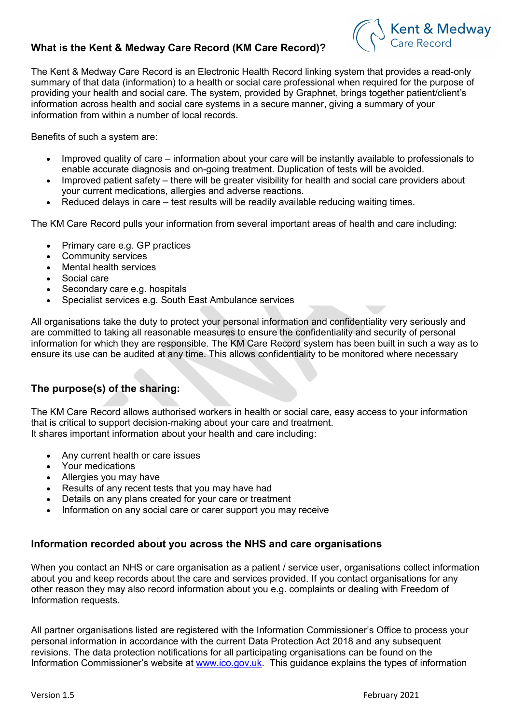## What is the Kent & Medway Care Record (KM Care Record)?



The Kent & Medway Care Record is an Electronic Health Record linking system that provides a read-only summary of that data (information) to a health or social care professional when required for the purpose of providing your health and social care. The system, provided by Graphnet, brings together patient/client's information across health and social care systems in a secure manner, giving a summary of your information from within a number of local records.

Benefits of such a system are:

- Improved quality of care information about your care will be instantly available to professionals to enable accurate diagnosis and on-going treatment. Duplication of tests will be avoided.
- Improved patient safety there will be greater visibility for health and social care providers about your current medications, allergies and adverse reactions.
- Reduced delays in care test results will be readily available reducing waiting times.

The KM Care Record pulls your information from several important areas of health and care including:

- Primary care e.g. GP practices
- Community services
- Mental health services
- Social care
- Secondary care e.g. hospitals
- Specialist services e.g. South East Ambulance services

All organisations take the duty to protect your personal information and confidentiality very seriously and are committed to taking all reasonable measures to ensure the confidentiality and security of personal information for which they are responsible. The KM Care Record system has been built in such a way as to ensure its use can be audited at any time. This allows confidentiality to be monitored where necessary

## The purpose(s) of the sharing:

The KM Care Record allows authorised workers in health or social care, easy access to your information that is critical to support decision-making about your care and treatment. It shares important information about your health and care including:

- Any current health or care issues
- Your medications
- Allergies you may have
- Results of any recent tests that you may have had
- Details on any plans created for your care or treatment
- Information on any social care or carer support you may receive

#### Information recorded about you across the NHS and care organisations

When you contact an NHS or care organisation as a patient / service user, organisations collect information about you and keep records about the care and services provided. If you contact organisations for any other reason they may also record information about you e.g. complaints or dealing with Freedom of Information requests.

All partner organisations listed are registered with the Information Commissioner's Office to process your personal information in accordance with the current Data Protection Act 2018 and any subsequent revisions. The data protection notifications for all participating organisations can be found on the Information Commissioner's website at www.ico.gov.uk. This guidance explains the types of information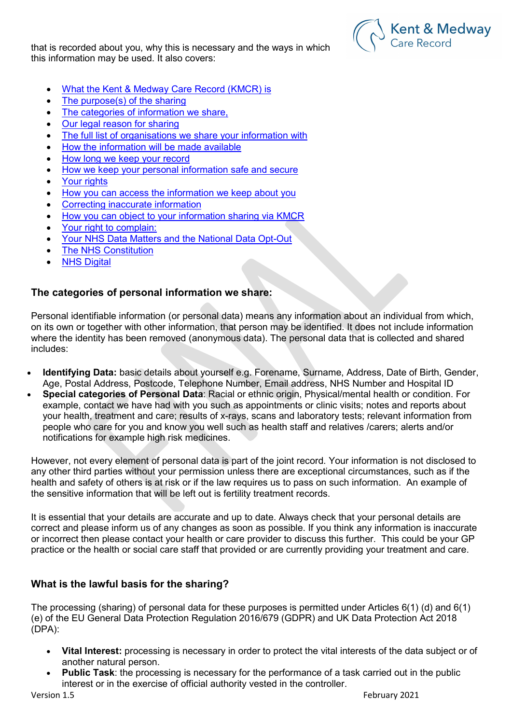that is recorded about you, why this is necessary and the ways in which this information may be used. It also covers:



- What the Kent & Medway Care Record (KMCR) is
- The purpose(s) of the sharing
- The categories of information we share,
- Our legal reason for sharing
- The full list of organisations we share your information with
- How the information will be made available
- How long we keep your record
- How we keep your personal information safe and secure
- Your rights
- How you can access the information we keep about you
- Correcting inaccurate information
- How you can object to your information sharing via KMCR
- Your right to complain:
- Your NHS Data Matters and the National Data Opt-Out
- The NHS Constitution
- **NHS Digital**

## The categories of personal information we share:

Personal identifiable information (or personal data) means any information about an individual from which, on its own or together with other information, that person may be identified. It does not include information where the identity has been removed (anonymous data). The personal data that is collected and shared includes:

- Identifying Data: basic details about yourself e.g. Forename, Surname, Address, Date of Birth, Gender, Age, Postal Address, Postcode, Telephone Number, Email address, NHS Number and Hospital ID
- Special categories of Personal Data: Racial or ethnic origin, Physical/mental health or condition. For example, contact we have had with you such as appointments or clinic visits; notes and reports about your health, treatment and care; results of x-rays, scans and laboratory tests; relevant information from people who care for you and know you well such as health staff and relatives /carers; alerts and/or notifications for example high risk medicines.

However, not every element of personal data is part of the joint record. Your information is not disclosed to any other third parties without your permission unless there are exceptional circumstances, such as if the health and safety of others is at risk or if the law requires us to pass on such information. An example of the sensitive information that will be left out is fertility treatment records.

It is essential that your details are accurate and up to date. Always check that your personal details are correct and please inform us of any changes as soon as possible. If you think any information is inaccurate or incorrect then please contact your health or care provider to discuss this further. This could be your GP practice or the health or social care staff that provided or are currently providing your treatment and care.

## What is the lawful basis for the sharing?

The processing (sharing) of personal data for these purposes is permitted under Articles 6(1) (d) and 6(1) (e) of the EU General Data Protection Regulation 2016/679 (GDPR) and UK Data Protection Act 2018 (DPA):

- **Vital Interest:** processing is necessary in order to protect the vital interests of the data subject or of another natural person.
- Public Task: the processing is necessary for the performance of a task carried out in the public interest or in the exercise of official authority vested in the controller.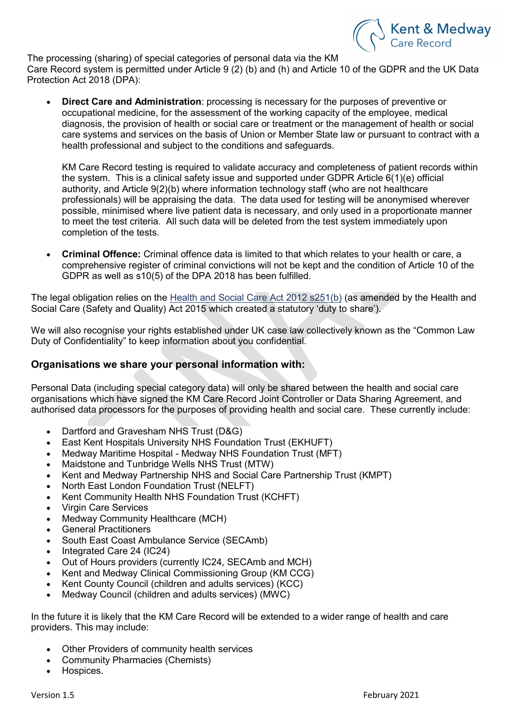

The processing (sharing) of special categories of personal data via the KM Care Record system is permitted under Article 9 (2) (b) and (h) and Article 10 of the GDPR and the UK Data Protection Act 2018 (DPA):

 Direct Care and Administration: processing is necessary for the purposes of preventive or occupational medicine, for the assessment of the working capacity of the employee, medical diagnosis, the provision of health or social care or treatment or the management of health or social care systems and services on the basis of Union or Member State law or pursuant to contract with a health professional and subject to the conditions and safeguards.

KM Care Record testing is required to validate accuracy and completeness of patient records within the system. This is a clinical safety issue and supported under GDPR Article 6(1)(e) official authority, and Article 9(2)(b) where information technology staff (who are not healthcare professionals) will be appraising the data. The data used for testing will be anonymised wherever possible, minimised where live patient data is necessary, and only used in a proportionate manner to meet the test criteria. All such data will be deleted from the test system immediately upon completion of the tests.

 Criminal Offence: Criminal offence data is limited to that which relates to your health or care, a comprehensive register of criminal convictions will not be kept and the condition of Article 10 of the GDPR as well as s10(5) of the DPA 2018 has been fulfilled.

The legal obligation relies on the Health and Social Care Act 2012 s251(b) (as amended by the Health and Social Care (Safety and Quality) Act 2015 which created a statutory 'duty to share').

We will also recognise your rights established under UK case law collectively known as the "Common Law Duty of Confidentiality" to keep information about you confidential.

## Organisations we share your personal information with:

Personal Data (including special category data) will only be shared between the health and social care organisations which have signed the KM Care Record Joint Controller or Data Sharing Agreement, and authorised data processors for the purposes of providing health and social care. These currently include:

- Dartford and Gravesham NHS Trust (D&G)
- East Kent Hospitals University NHS Foundation Trust (EKHUFT)
- Medway Maritime Hospital Medway NHS Foundation Trust (MFT)
- Maidstone and Tunbridge Wells NHS Trust (MTW)
- Kent and Medway Partnership NHS and Social Care Partnership Trust (KMPT)
- North East London Foundation Trust (NELFT)
- Kent Community Health NHS Foundation Trust (KCHFT)
- Virgin Care Services
- Medway Community Healthcare (MCH)
- General Practitioners
- South East Coast Ambulance Service (SECAmb)
- Integrated Care 24 (IC24)
- Out of Hours providers (currently IC24, SECAmb and MCH)
- Kent and Medway Clinical Commissioning Group (KM CCG)
- Kent County Council (children and adults services) (KCC)
- Medway Council (children and adults services) (MWC)

In the future it is likely that the KM Care Record will be extended to a wider range of health and care providers. This may include:

- Other Providers of community health services
- Community Pharmacies (Chemists)
- Hospices.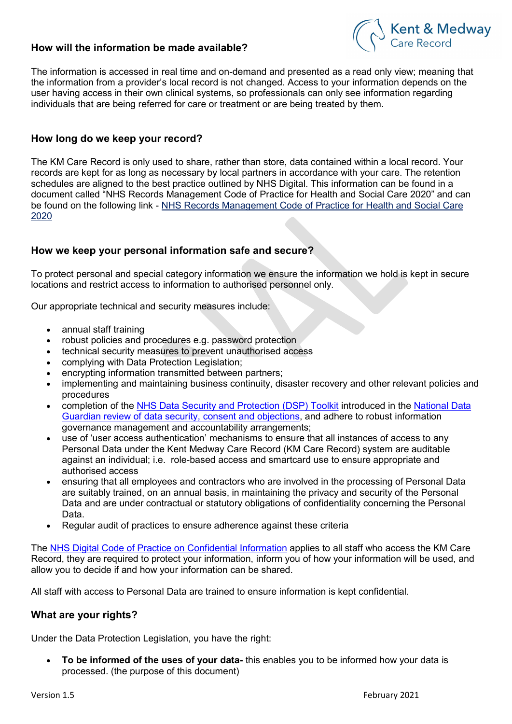## How will the information be made available?



The information is accessed in real time and on-demand and presented as a read only view; meaning that the information from a provider's local record is not changed. Access to your information depends on the user having access in their own clinical systems, so professionals can only see information regarding individuals that are being referred for care or treatment or are being treated by them.

## How long do we keep your record?

The KM Care Record is only used to share, rather than store, data contained within a local record. Your records are kept for as long as necessary by local partners in accordance with your care. The retention schedules are aligned to the best practice outlined by NHS Digital. This information can be found in a document called "NHS Records Management Code of Practice for Health and Social Care 2020" and can be found on the following link - NHS Records Management Code of Practice for Health and Social Care 2020

## How we keep your personal information safe and secure?

To protect personal and special category information we ensure the information we hold is kept in secure locations and restrict access to information to authorised personnel only.

Our appropriate technical and security measures include:

- annual staff training
- robust policies and procedures e.g. password protection
- technical security measures to prevent unauthorised access
- complying with Data Protection Legislation;
- encrypting information transmitted between partners;
- implementing and maintaining business continuity, disaster recovery and other relevant policies and procedures
- completion of the NHS Data Security and Protection (DSP) Toolkit introduced in the National Data Guardian review of data security, consent and objections, and adhere to robust information governance management and accountability arrangements;
- use of 'user access authentication' mechanisms to ensure that all instances of access to any Personal Data under the Kent Medway Care Record (KM Care Record) system are auditable against an individual; i.e. role-based access and smartcard use to ensure appropriate and authorised access
- ensuring that all employees and contractors who are involved in the processing of Personal Data are suitably trained, on an annual basis, in maintaining the privacy and security of the Personal Data and are under contractual or statutory obligations of confidentiality concerning the Personal Data.
- Regular audit of practices to ensure adherence against these criteria

The NHS Digital Code of Practice on Confidential Information applies to all staff who access the KM Care Record, they are required to protect your information, inform you of how your information will be used, and allow you to decide if and how your information can be shared.

All staff with access to Personal Data are trained to ensure information is kept confidential.

#### What are your rights?

Under the Data Protection Legislation, you have the right:

To be informed of the uses of your data- this enables you to be informed how your data is processed. (the purpose of this document)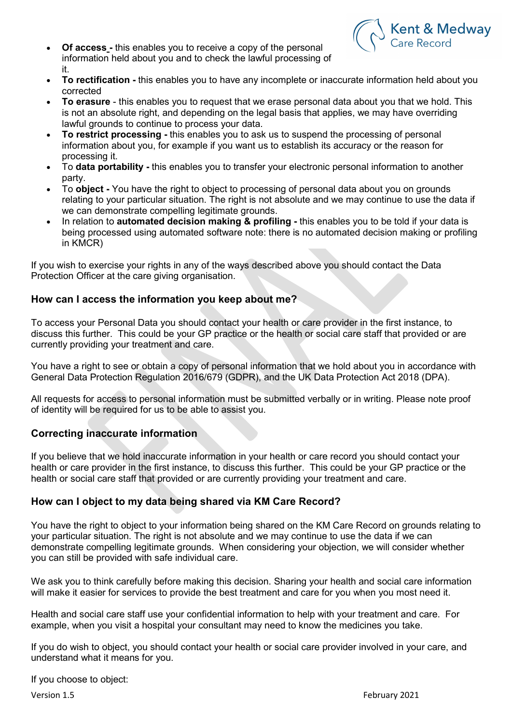

- Of access this enables you to receive a copy of the personal information held about you and to check the lawful processing of it.
- To rectification this enables you to have any incomplete or inaccurate information held about you corrected
- To erasure this enables you to request that we erase personal data about you that we hold. This is not an absolute right, and depending on the legal basis that applies, we may have overriding lawful grounds to continue to process your data.
- To restrict processing this enables you to ask us to suspend the processing of personal information about you, for example if you want us to establish its accuracy or the reason for processing it.
- To **data portability** this enables you to transfer your electronic personal information to another party.
- To **object** You have the right to object to processing of personal data about you on grounds relating to your particular situation. The right is not absolute and we may continue to use the data if we can demonstrate compelling legitimate grounds.
- In relation to **automated decision making & profiling -** this enables you to be told if your data is being processed using automated software note: there is no automated decision making or profiling in KMCR)

If you wish to exercise your rights in any of the ways described above you should contact the Data Protection Officer at the care giving organisation.

## How can I access the information you keep about me?

To access your Personal Data you should contact your health or care provider in the first instance, to discuss this further. This could be your GP practice or the health or social care staff that provided or are currently providing your treatment and care.

You have a right to see or obtain a copy of personal information that we hold about you in accordance with General Data Protection Regulation 2016/679 (GDPR), and the UK Data Protection Act 2018 (DPA).

All requests for access to personal information must be submitted verbally or in writing. Please note proof of identity will be required for us to be able to assist you.

## Correcting inaccurate information

If you believe that we hold inaccurate information in your health or care record you should contact your health or care provider in the first instance, to discuss this further. This could be your GP practice or the health or social care staff that provided or are currently providing your treatment and care.

## How can I object to my data being shared via KM Care Record?

You have the right to object to your information being shared on the KM Care Record on grounds relating to your particular situation. The right is not absolute and we may continue to use the data if we can demonstrate compelling legitimate grounds. When considering your objection, we will consider whether you can still be provided with safe individual care.

We ask you to think carefully before making this decision. Sharing your health and social care information will make it easier for services to provide the best treatment and care for you when you most need it.

Health and social care staff use your confidential information to help with your treatment and care. For example, when you visit a hospital your consultant may need to know the medicines you take.

If you do wish to object, you should contact your health or social care provider involved in your care, and understand what it means for you.

If you choose to object: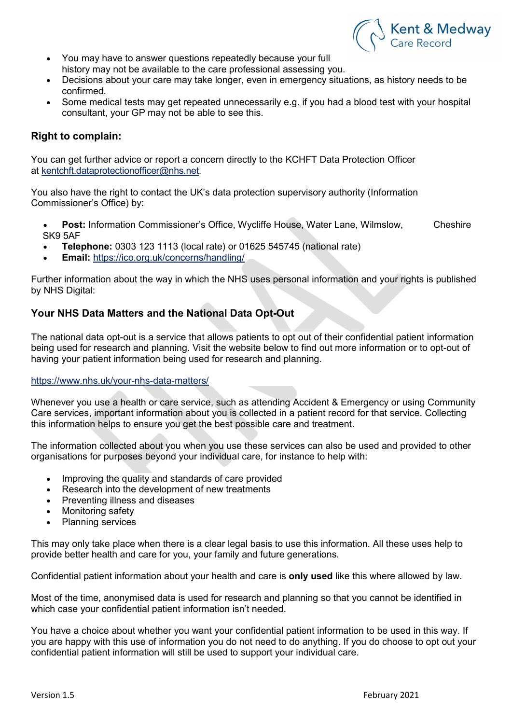

- You may have to answer questions repeatedly because your full history may not be available to the care professional assessing you.
- Decisions about your care may take longer, even in emergency situations, as history needs to be confirmed.
- Some medical tests may get repeated unnecessarily e.g. if you had a blood test with your hospital consultant, your GP may not be able to see this.

#### Right to complain:

You can get further advice or report a concern directly to the KCHFT Data Protection Officer at kentchft.dataprotectionofficer@nhs.net.

You also have the right to contact the UK's data protection supervisory authority (Information Commissioner's Office) by:

Post: Information Commissioner's Office, Wycliffe House, Water Lane, Wilmslow, Cheshire SK9 5AF

- Telephone: 0303 123 1113 (local rate) or 01625 545745 (national rate)
- Email: https://ico.org.uk/concerns/handling/

Further information about the way in which the NHS uses personal information and your rights is published by NHS Digital:

## Your NHS Data Matters and the National Data Opt-Out

The national data opt-out is a service that allows patients to opt out of their confidential patient information being used for research and planning. Visit the website below to find out more information or to opt-out of having your patient information being used for research and planning.

#### https://www.nhs.uk/your-nhs-data-matters/

Whenever you use a health or care service, such as attending Accident & Emergency or using Community Care services, important information about you is collected in a patient record for that service. Collecting this information helps to ensure you get the best possible care and treatment.

The information collected about you when you use these services can also be used and provided to other organisations for purposes beyond your individual care, for instance to help with:

- Improving the quality and standards of care provided
- Research into the development of new treatments
- Preventing illness and diseases
- Monitoring safety
- Planning services

This may only take place when there is a clear legal basis to use this information. All these uses help to provide better health and care for you, your family and future generations.

Confidential patient information about your health and care is only used like this where allowed by law.

Most of the time, anonymised data is used for research and planning so that you cannot be identified in which case your confidential patient information isn't needed.

You have a choice about whether you want your confidential patient information to be used in this way. If you are happy with this use of information you do not need to do anything. If you do choose to opt out your confidential patient information will still be used to support your individual care.